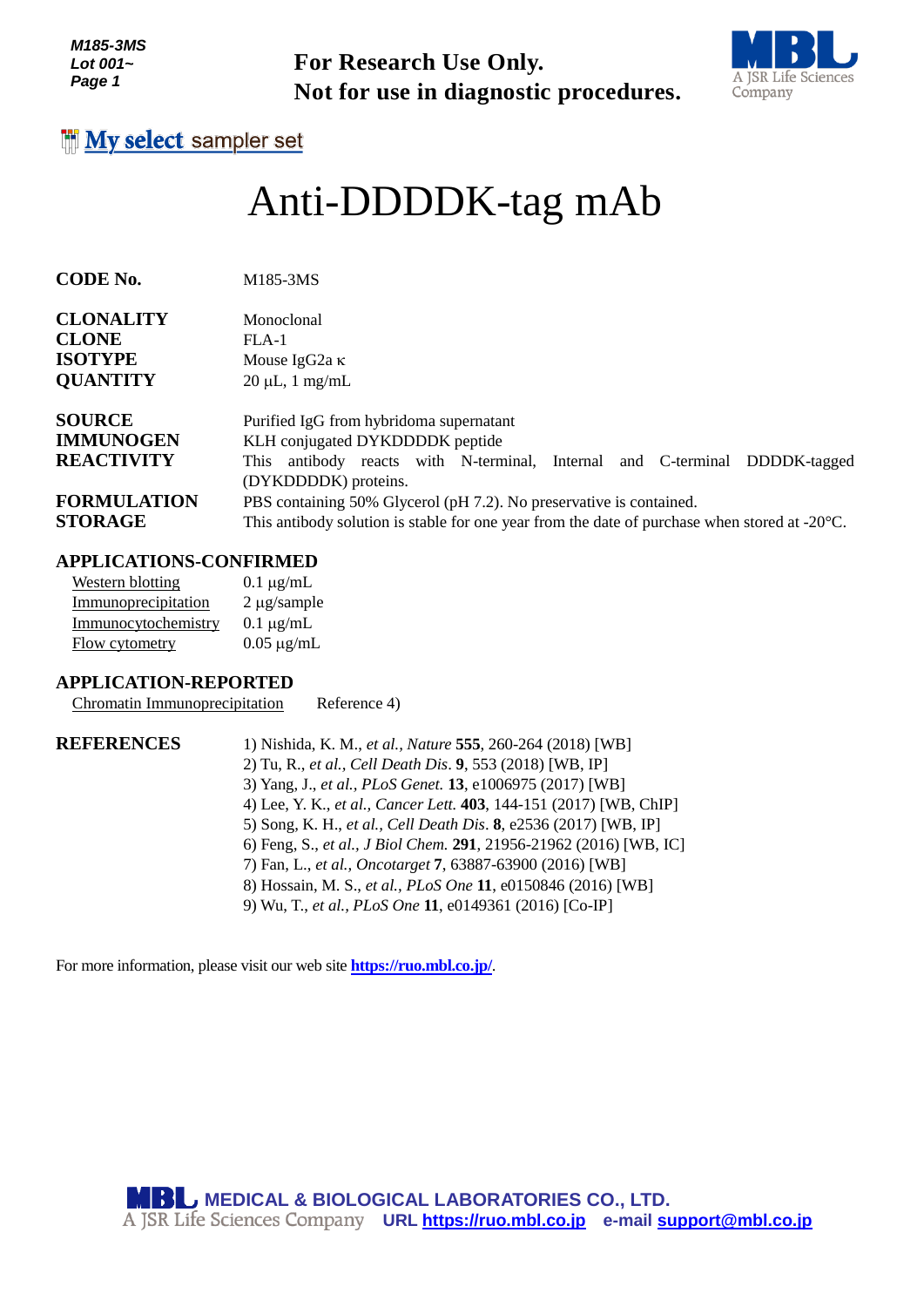*M185-3MS Lot 001~ Page 1*



#### *g e*

# *<sup>1</sup>* Anti-DDDDK-tag mAb

| Lot 001~<br>Page 1                                                  | D<br><b>For Research Use Only.</b><br>A JSR Life Sciences<br>Not for use in diagnostic procedures.<br>Company                                                                                                                                                                                                                                                                                                                                                                                                                                                                                |
|---------------------------------------------------------------------|----------------------------------------------------------------------------------------------------------------------------------------------------------------------------------------------------------------------------------------------------------------------------------------------------------------------------------------------------------------------------------------------------------------------------------------------------------------------------------------------------------------------------------------------------------------------------------------------|
| <b>My select sampler set</b>                                        |                                                                                                                                                                                                                                                                                                                                                                                                                                                                                                                                                                                              |
|                                                                     | Anti-DDDDK-tag mAb                                                                                                                                                                                                                                                                                                                                                                                                                                                                                                                                                                           |
| CODE No.                                                            | M185-3MS                                                                                                                                                                                                                                                                                                                                                                                                                                                                                                                                                                                     |
| <b>CLONALITY</b>                                                    | Monoclonal                                                                                                                                                                                                                                                                                                                                                                                                                                                                                                                                                                                   |
| <b>CLONE</b>                                                        | $FLA-1$                                                                                                                                                                                                                                                                                                                                                                                                                                                                                                                                                                                      |
| <b>ISOTYPE</b>                                                      | Mouse IgG2a κ                                                                                                                                                                                                                                                                                                                                                                                                                                                                                                                                                                                |
| <b>QUANTITY</b>                                                     | $20 \mu L$ , 1 mg/mL                                                                                                                                                                                                                                                                                                                                                                                                                                                                                                                                                                         |
| <b>SOURCE</b>                                                       | Purified IgG from hybridoma supernatant                                                                                                                                                                                                                                                                                                                                                                                                                                                                                                                                                      |
| <b>IMMUNOGEN</b>                                                    | KLH conjugated DYKDDDDK peptide                                                                                                                                                                                                                                                                                                                                                                                                                                                                                                                                                              |
| <b>REACTIVITY</b>                                                   | This antibody reacts with N-terminal, Internal and C-terminal DDDDK-tagged                                                                                                                                                                                                                                                                                                                                                                                                                                                                                                                   |
|                                                                     | (DYKDDDDK) proteins.                                                                                                                                                                                                                                                                                                                                                                                                                                                                                                                                                                         |
| <b>FORMULATION</b><br><b>STORAGE</b>                                | PBS containing 50% Glycerol (pH 7.2). No preservative is contained.                                                                                                                                                                                                                                                                                                                                                                                                                                                                                                                          |
|                                                                     | This antibody solution is stable for one year from the date of purchase when stored at $-20^{\circ}$ C.                                                                                                                                                                                                                                                                                                                                                                                                                                                                                      |
| <b>APPLICATIONS-CONFIRMED</b>                                       |                                                                                                                                                                                                                                                                                                                                                                                                                                                                                                                                                                                              |
| <b>Western blotting</b>                                             | $0.1 \mu g/mL$                                                                                                                                                                                                                                                                                                                                                                                                                                                                                                                                                                               |
| Immunoprecipitation                                                 | $2 \mu g$ /sample                                                                                                                                                                                                                                                                                                                                                                                                                                                                                                                                                                            |
| Immunocytochemistry                                                 | $0.1 \mu g/mL$                                                                                                                                                                                                                                                                                                                                                                                                                                                                                                                                                                               |
| <b>Flow cytometry</b>                                               | $0.05 \mu g/mL$                                                                                                                                                                                                                                                                                                                                                                                                                                                                                                                                                                              |
| <b>APPLICATION-REPORTED</b><br><b>Chromatin Immunoprecipitation</b> | Reference 4)                                                                                                                                                                                                                                                                                                                                                                                                                                                                                                                                                                                 |
| <b>REFERENCES</b>                                                   | 1) Nishida, K. M., et al., Nature 555, 260-264 (2018) [WB]<br>2) Tu, R., et al., Cell Death Dis. 9, 553 (2018) [WB, IP]<br>3) Yang, J., et al., PLoS Genet. 13, e1006975 (2017) [WB]<br>4) Lee, Y. K., et al., Cancer Lett. 403, 144-151 (2017) [WB, ChIP]<br>5) Song, K. H., et al., Cell Death Dis. 8, e2536 (2017) [WB, IP]<br>6) Feng, S., et al., J Biol Chem. 291, 21956-21962 (2016) [WB, IC]<br>7) Fan, L., et al., Oncotarget 7, 63887-63900 (2016) [WB]<br>8) Hossain, M. S., et al., PLoS One 11, e0150846 (2016) [WB]<br>9) Wu, T., et al., PLoS One 11, e0149361 (2016) [Co-IP] |
|                                                                     | For more information, please visit our web site <b>https://ruo.mbl.co.jp/</b> .                                                                                                                                                                                                                                                                                                                                                                                                                                                                                                              |
|                                                                     | <b>MBL MEDICAL &amp; BIOLOGICAL LABORATORIES CO., LTD.</b><br>A JSR Life Sciences Company URL https://ruo.mbl.co.jp e-mail support@mbl.co.jp                                                                                                                                                                                                                                                                                                                                                                                                                                                 |

### **APPLICATIONS-CONFIRMED**

| Western blotting    | $0.1 \mu g/mL$   |
|---------------------|------------------|
| Immunoprecipitation | $2 \mu$ g/sample |
| Immunocytochemistry | $0.1 \mu g/mL$   |
| Flow cytometry      | $0.05 \mu g/mL$  |

#### **APPLICATION-REPORTED**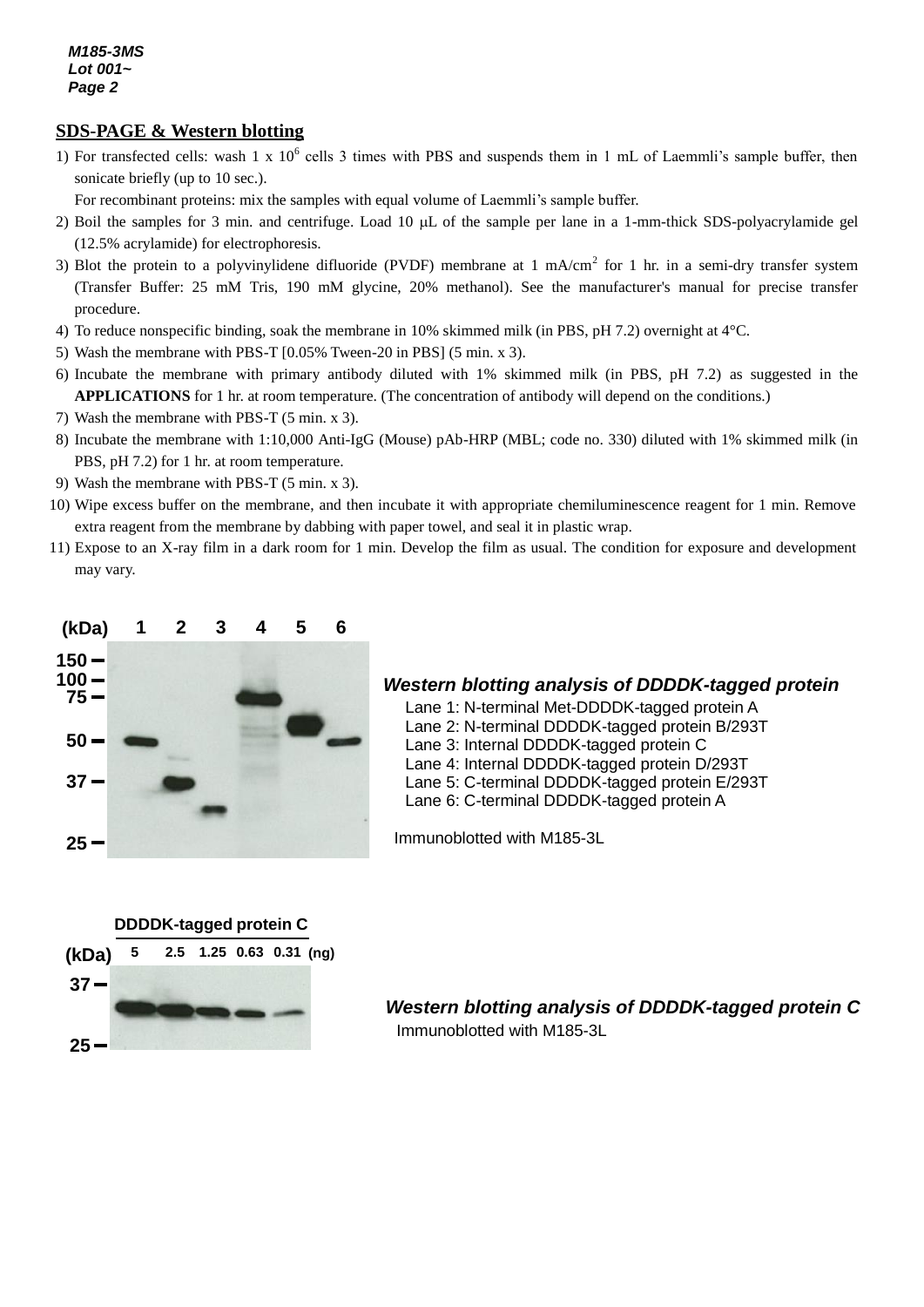# *3* **SDS-PAGE & Western blotting**

- 1) For transfected cells: wash 1 x  $10^6$  cells 3 times with PBS and suspends them in 1 mL of Laemmli's sample buffer, then sonicate briefly (up to 10 sec.).
	- For recombinant proteins: mix the samples with equal volume of Laemmli's sample buffer.
- 2) Boil the samples for 3 min. and centrifuge. Load 10  $\mu$ L of the sample per lane in a 1-mm-thick SDS-polyacrylamide gel (12.5% acrylamide) for electrophoresis.
- 3) Blot the protein to a polyvinylidene difluoride (PVDF) membrane at 1 mA/cm<sup>2</sup> for 1 hr. in a semi-dry transfer system (Transfer Buffer: 25 mM Tris, 190 mM glycine, 20% methanol). See the manufacturer's manual for precise transfer procedure.
- 4) To reduce nonspecific binding, soak the membrane in 10% skimmed milk (in PBS, pH 7.2) overnight at 4°C.
- 5) Wash the membrane with PBS-T [0.05% Tween-20 in PBS] (5 min. x 3).
- 6) Incubate the membrane with primary antibody diluted with 1% skimmed milk (in PBS, pH 7.2) as suggested in the **APPLICATIONS** for 1 hr. at room temperature. (The concentration of antibody will depend on the conditions.)
- 7) Wash the membrane with PBS-T (5 min. x 3).
- 8) Incubate the membrane with 1:10,000 Anti-IgG (Mouse) pAb-HRP (MBL; code no. 330) diluted with 1% skimmed milk (in PBS, pH 7.2) for 1 hr. at room temperature.
- 9) Wash the membrane with PBS-T (5 min. x 3).
- 10) Wipe excess buffer on the membrane, and then incubate it with appropriate chemiluminescence reagent for 1 min. Remove extra reagent from the membrane by dabbing with paper towel, and seal it in plastic wrap.
- 11) Expose to an X-ray film in a dark room for 1 min. Develop the film as usual. The condition for exposure and development may vary.



#### *Western blotting analysis of DDDDK-tagged protein*

- Lane 1: N-terminal Met-DDDDK-tagged protein A
- Lane 2: N-terminal DDDDK-tagged protein B/293T
- Lane 3: Internal DDDDK-tagged protein C
- Lane 4: Internal DDDDK-tagged protein D/293T
- Lane 5: C-terminal DDDDK-tagged protein E/293T
- Lane 6: C-terminal DDDDK-tagged protein A

Immunoblotted with M185-3L



*Western blotting analysis of DDDDK-tagged protein C* Immunoblotted with M185-3L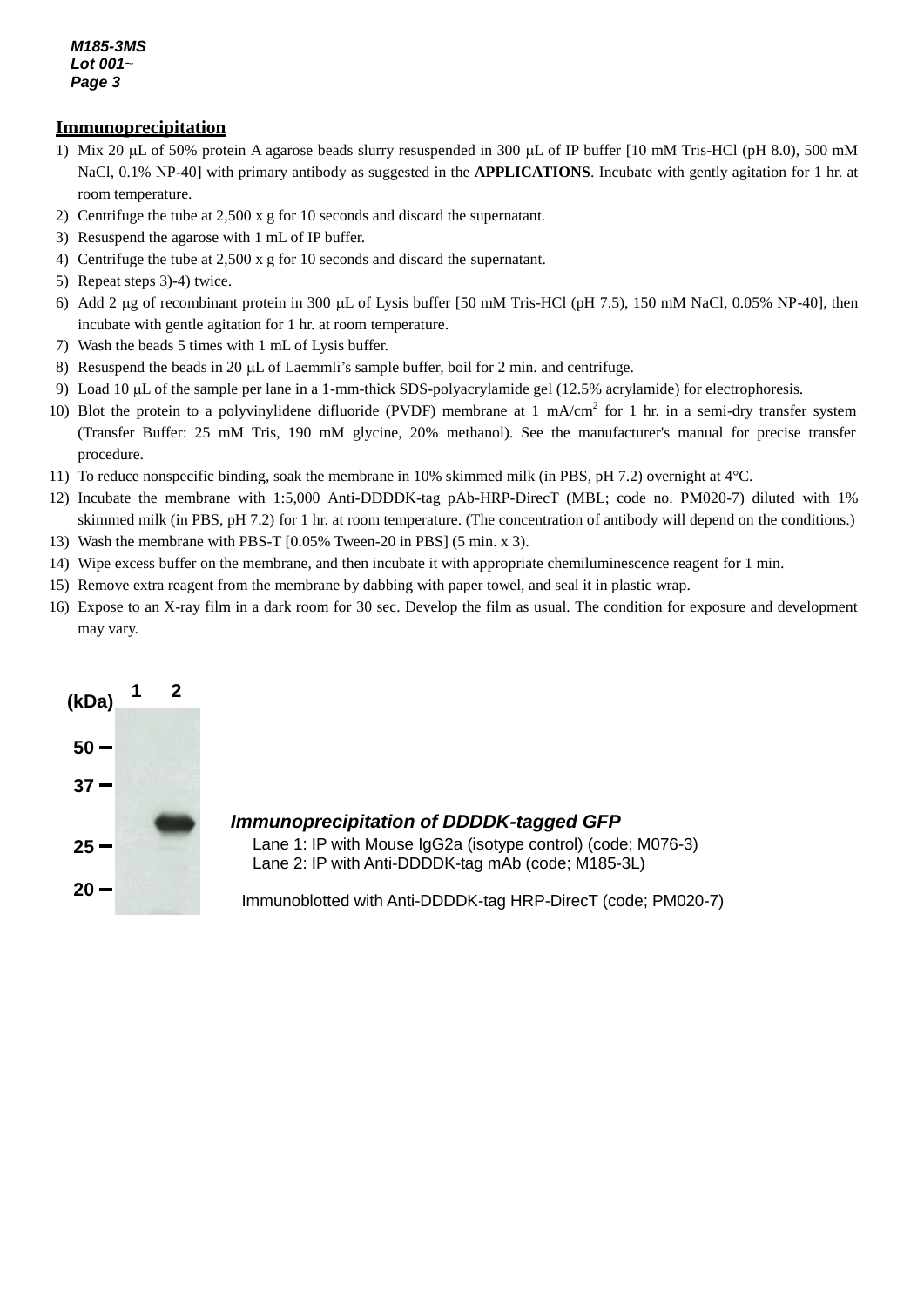#### *M185-3MS Lot 001~ Page 3*

#### **Immunoprecipitation**

- 1) Mix 20  $\mu$ L of 50% protein A agarose beads slurry resuspended in 300  $\mu$ L of IP buffer [10 mM Tris-HCl (pH 8.0), 500 mM NaCl, 0.1% NP-40] with primary antibody as suggested in the **APPLICATIONS**. Incubate with gently agitation for 1 hr. at room temperature.
- 2) Centrifuge the tube at 2,500 x g for 10 seconds and discard the supernatant.
- 3) Resuspend the agarose with 1 mL of IP buffer.
- 4) Centrifuge the tube at 2,500 x g for 10 seconds and discard the supernatant.
- 5) Repeat steps 3)-4) twice.
- 6) Add 2  $\mu$ g of recombinant protein in 300  $\mu$ L of Lysis buffer [50 mM Tris-HCl (pH 7.5), 150 mM NaCl, 0.05% NP-40], then incubate with gentle agitation for 1 hr. at room temperature.
- 7) Wash the beads 5 times with 1 mL of Lysis buffer.
- 8) Resuspend the beads in 20  $\mu$ L of Laemmli's sample buffer, boil for 2 min. and centrifuge.
- 9) Load 10  $\mu$ L of the sample per lane in a 1-mm-thick SDS-polyacrylamide gel (12.5% acrylamide) for electrophoresis.
- 10) Blot the protein to a polyvinylidene difluoride (PVDF) membrane at 1 mA/cm<sup>2</sup> for 1 hr. in a semi-dry transfer system (Transfer Buffer: 25 mM Tris, 190 mM glycine, 20% methanol). See the manufacturer's manual for precise transfer procedure.
- 11) To reduce nonspecific binding, soak the membrane in 10% skimmed milk (in PBS, pH 7.2) overnight at 4°C.
- 12) Incubate the membrane with 1:5,000 Anti-DDDDK-tag pAb-HRP-DirecT (MBL; code no. PM020-7) diluted with 1% skimmed milk (in PBS, pH 7.2) for 1 hr. at room temperature. (The concentration of antibody will depend on the conditions.)
- 13) Wash the membrane with PBS-T [0.05% Tween-20 in PBS] (5 min. x 3).
- 14) Wipe excess buffer on the membrane, and then incubate it with appropriate chemiluminescence reagent for 1 min.
- 15) Remove extra reagent from the membrane by dabbing with paper towel, and seal it in plastic wrap.
- 16) Expose to an X-ray film in a dark room for 30 sec. Develop the film as usual. The condition for exposure and development may vary.



### *Immunoprecipitation of DDDDK-tagged GFP*

Lane 1: IP with Mouse IgG2a (isotype control) (code; M076-3) Lane 2: IP with Anti-DDDDK-tag mAb (code; M185-3L)

Immunoblotted with Anti-DDDDK-tag HRP-DirecT (code; PM020-7)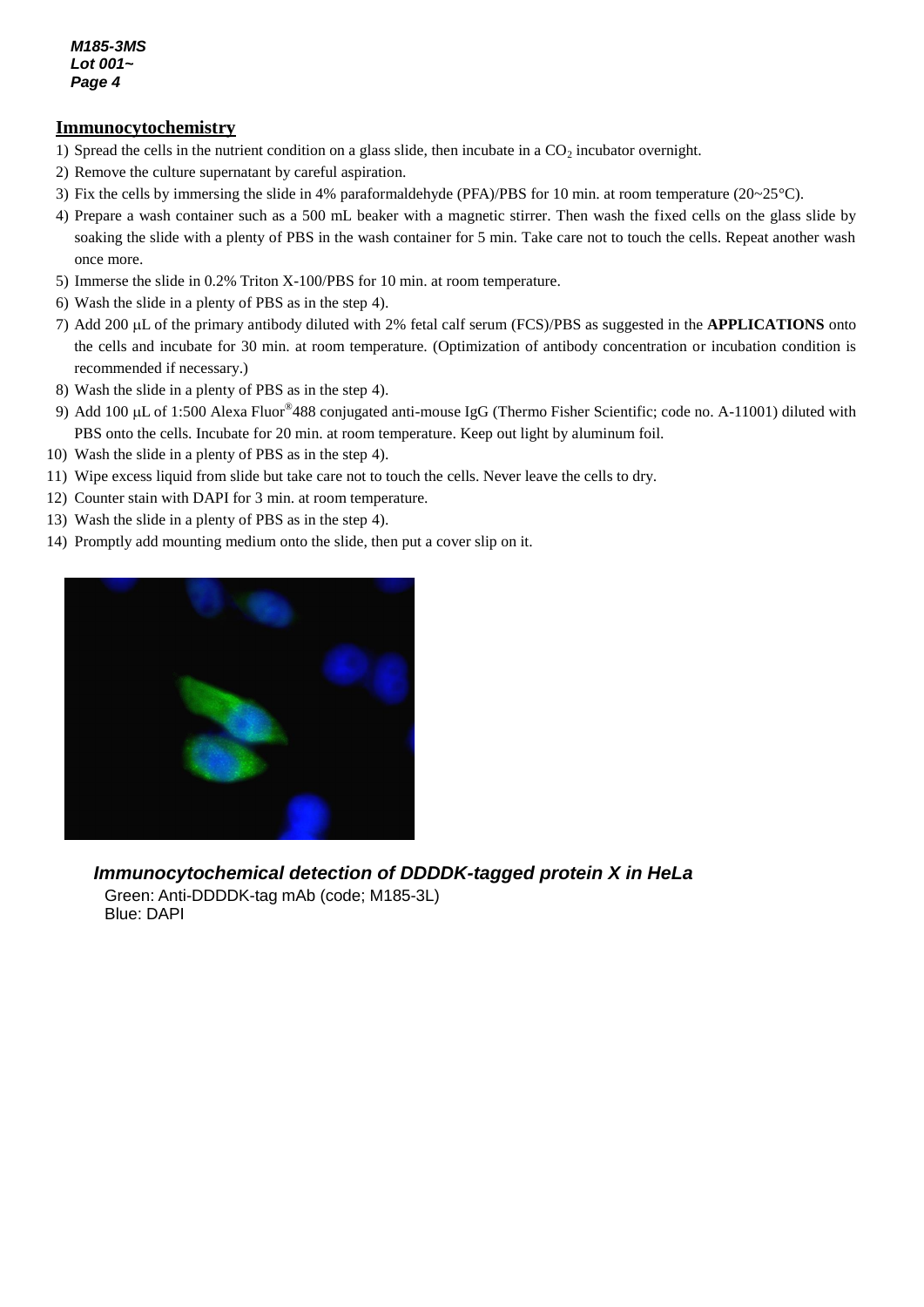#### **Immunocytochemistry**

- 1) Spread the cells in the nutrient condition on a glass slide, then incubate in a  $CO<sub>2</sub>$  incubator overnight.
- 2) Remove the culture supernatant by careful aspiration.
- 3) Fix the cells by immersing the slide in 4% paraformaldehyde (PFA)/PBS for 10 min. at room temperature (20~25°C).
- 4) Prepare a wash container such as a 500 mL beaker with a magnetic stirrer. Then wash the fixed cells on the glass slide by soaking the slide with a plenty of PBS in the wash container for 5 min. Take care not to touch the cells. Repeat another wash once more.
- 5) Immerse the slide in 0.2% Triton X-100/PBS for 10 min. at room temperature.
- 6) Wash the slide in a plenty of PBS as in the step 4).
- 7) Add 200 µL of the primary antibody diluted with 2% fetal calf serum (FCS)/PBS as suggested in the **APPLICATIONS** onto the cells and incubate for 30 min. at room temperature. (Optimization of antibody concentration or incubation condition is recommended if necessary.)
- 8) Wash the slide in a plenty of PBS as in the step 4).
- 9) Add 100 µL of 1:500 Alexa Fluor<sup>®</sup>488 conjugated anti-mouse IgG (Thermo Fisher Scientific; code no. A-11001) diluted with PBS onto the cells. Incubate for 20 min. at room temperature. Keep out light by aluminum foil.
- 10) Wash the slide in a plenty of PBS as in the step 4).
- 11) Wipe excess liquid from slide but take care not to touch the cells. Never leave the cells to dry.
- 12) Counter stain with DAPI for 3 min. at room temperature.
- 13) Wash the slide in a plenty of PBS as in the step 4).
- 14) Promptly add mounting medium onto the slide, then put a cover slip on it.



#### *Immunocytochemical detection of DDDDK-tagged protein X in HeLa*

Green: Anti-DDDDK-tag mAb (code; M185-3L) Blue: DAPI